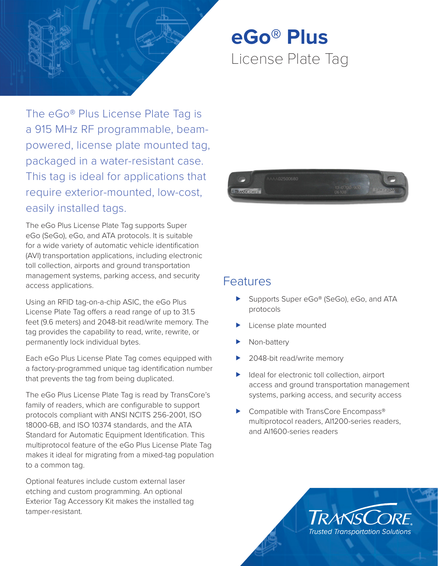

**eGo® Plus** License Plate Tag

The eGo® Plus License Plate Tag is a 915 MHz RF programmable, beampowered, license plate mounted tag, packaged in a water-resistant case. This tag is ideal for applications that require exterior-mounted, low-cost, easily installed tags.

The eGo Plus License Plate Tag supports Super eGo (SeGo), eGo, and ATA protocols. It is suitable for a wide variety of automatic vehicle identification (AVI) transportation applications, including electronic toll collection, airports and ground transportation management systems, parking access, and security access applications.

Using an RFID tag-on-a-chip ASIC, the eGo Plus License Plate Tag offers a read range of up to 31.5 feet (9.6 meters) and 2048-bit read/write memory. The tag provides the capability to read, write, rewrite, or permanently lock individual bytes.

Each eGo Plus License Plate Tag comes equipped with a factory-programmed unique tag identification number that prevents the tag from being duplicated.

The eGo Plus License Plate Tag is read by TransCore's family of readers, which are configurable to support protocols compliant with ANSI NCITS 256-2001, ISO 18000-6B, and ISO 10374 standards, and the ATA Standard for Automatic Equipment Identification. This multiprotocol feature of the eGo Plus License Plate Tag makes it ideal for migrating from a mixed-tag population to a common tag.

Optional features include custom external laser etching and custom programming. An optional Exterior Tag Accessory Kit makes the installed tag tamper-resistant.



# **Features**

- Supports Super eGo® (SeGo), eGo, and ATA protocols
- License plate mounted
- Non-battery
- 2048-bit read/write memory
- $\blacktriangleright$  Ideal for electronic toll collection, airport access and ground transportation management systems, parking access, and security access
- Compatible with TransCore Encompass® multiprotocol readers, AI1200-series readers, and AI1600-series readers